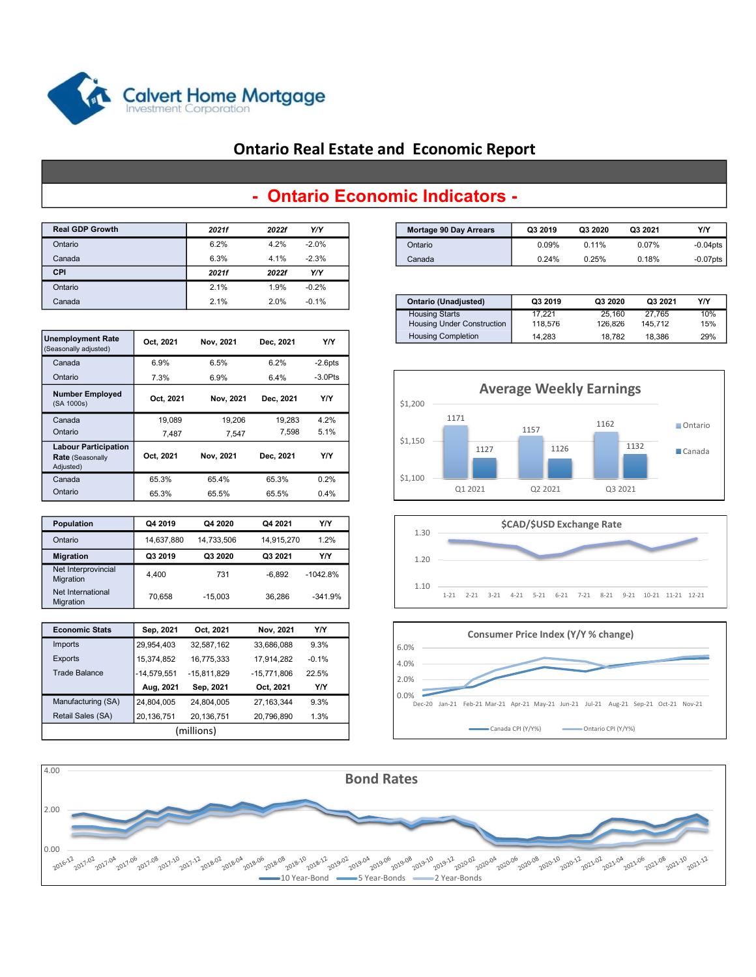

## Ontario Real Estate and Economic Report

| <b>Real GDP Growth</b> | 2021f | 2022f | Y/Y     |
|------------------------|-------|-------|---------|
| Ontario                | 6.2%  | 4.2%  | $-2.0%$ |
| Canada                 | 6.3%  | 4.1%  | $-2.3%$ |
| <b>CPI</b>             | 2021f | 2022f | Y/Y     |
| Ontario                | 2.1%  | 1.9%  | $-0.2%$ |
| Canada                 | 2.1%  | 2.0%  | $-0.1%$ |

| Unemployment Rate | - - --- | $\cdots$ $\cdots$ | - --- |         |
|-------------------|---------|-------------------|-------|---------|
|                   |         |                   |       |         |
| Canada            |         | 2.1%              | 2.0%  | $-0.1%$ |
| Ontario           |         | 2.1%              | 1.9%  | $-0.2%$ |
| <b>CPI</b>        |         | 2021f             | 2022f | Y/Y     |
| Canada            |         | 6.3%              | 4.1%  | $-2.3%$ |

| <b>Unemployment Rate</b><br>(Seasonally adjusted)                   | Oct. 2021 | Nov. 2021 | Dec. 2021 | Y/Y        |
|---------------------------------------------------------------------|-----------|-----------|-----------|------------|
| Canada                                                              | 6.9%      | 6.5%      | 6.2%      | $-2.6$ pts |
| Ontario                                                             | 7.3%      | 6.9%      | 6.4%      | $-3.0$ Pts |
| <b>Number Employed</b><br>(SA 1000s)                                | Oct. 2021 | Nov, 2021 | Dec. 2021 | Y/Y        |
| Canada                                                              | 19,089    | 19,206    | 19.283    | 4.2%       |
| Ontario                                                             | 7,487     | 7.547     | 7,598     | 5.1%       |
| <b>Labour Participation</b><br><b>Rate (Seasonally</b><br>Adjusted) | Oct. 2021 | Nov. 2021 | Dec. 2021 | Y/Y        |
| Canada                                                              | 65.3%     | 65.4%     | 65.3%     | 0.2%       |
| Ontario                                                             | 65.3%     | 65.5%     | 65.5%     | 0.4%       |

| <b>Population</b>                | Q4 2019    | Q4 2020    | Q4 2021    | Y/Y        |
|----------------------------------|------------|------------|------------|------------|
| Ontario                          | 14.637.880 | 14.733.506 | 14.915.270 | 1.2%       |
| <b>Migration</b>                 | Q3 2019    | Q3 2020    | Q3 2021    | Y/Y        |
| Net Interprovincial<br>Migration | 4.400      | 731        | $-6.892$   | $-1042.8%$ |
| Net International<br>Migration   | 70.658     | $-15.003$  | 36.286     | $-341.9%$  |

| <b>Economic Stats</b> | Sep, 2021     | Oct. 2021     | Nov, 2021   | Y/Y     |  |  |  |
|-----------------------|---------------|---------------|-------------|---------|--|--|--|
| Imports               | 29,954,403    | 32,587,162    | 33,686,088  | 9.3%    |  |  |  |
| <b>Exports</b>        | 15,374,852    | 16,775,333    | 17,914,282  | $-0.1%$ |  |  |  |
| <b>Trade Balance</b>  | $-14,579,551$ | $-15,811,829$ | -15,771,806 | 22.5%   |  |  |  |
|                       | Aug. 2021     | Sep, 2021     | Oct, 2021   | Y/Y     |  |  |  |
| Manufacturing (SA)    | 24,804,005    | 24,804,005    | 27.163.344  | 9.3%    |  |  |  |
| Retail Sales (SA)     | 20,136,751    | 20,136,751    | 20,796,890  | 1.3%    |  |  |  |
| (millions)            |               |               |             |         |  |  |  |

## - Ontario Economic Indicators -

| Real GDP Growth | <b>2021f</b> | 2022f  | Y/Y     | Mortage 90 Day Arrears | Q3 2019 | Q3 2020  | Q3 2021 | Y/Y         |
|-----------------|--------------|--------|---------|------------------------|---------|----------|---------|-------------|
| Ontario         | $6.2\%$      | 4.2%   | $-2.0%$ | Ontario                | 0.09%   | $0.11\%$ | 0.07%   | $-0.04$ pts |
| Canada          | $6.3\%$      | $+1\%$ | $-2.3%$ | Canada                 | 0.24%   | 0.25%    | 0.18%   | $-0.07$ pts |

| Canada          |             | 2.1%     | 2.0%     | $-0.1%$ |  | Ontario (Unadjusted)              | Q3 2019 | Q3 2020 | Q3 2021 | Y/Y |
|-----------------|-------------|----------|----------|---------|--|-----------------------------------|---------|---------|---------|-----|
|                 |             |          |          |         |  | <b>Housing Starts</b>             | '7.221  | 25.160  | 27,765  | 10% |
|                 |             |          |          |         |  | <b>Housing Under Construction</b> | 118.576 | 126.826 | 145.712 | 15% |
| employment Rate | 2021<br>Oct | Nov 2021 | Dec 2021 | YN      |  | <b>Housing Completion</b>         | 14.283  | 18.782  | 18.386  | 29% |